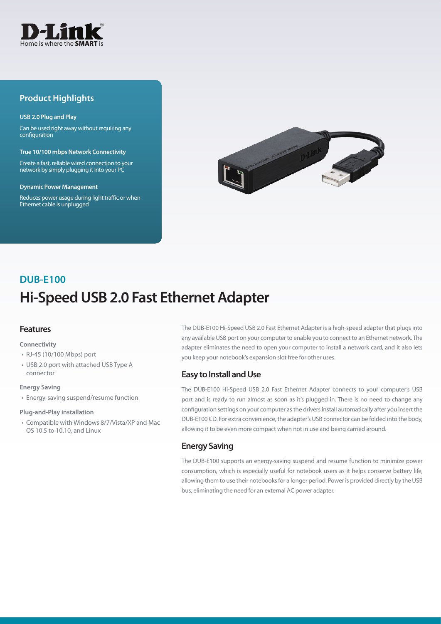

## **Product Highlights**

#### **USB 2.0 Plug and Play**

Can be used right away without requiring any configuration

**True 10/100 mbps Network Connectivity**

Create a fast, reliable wired connection to your network by simply plugging it into your PC

#### **Dynamic Power Management**

Reduces power usage during light traffic or when Ethernet cable is unplugged



# **Hi-Speed USB 2.0 Fast Ethernet Adapter DUB-E100**

## **Features**

#### **Connectivity**

- RJ-45 (10/100 Mbps) port
- USB 2.0 port with attached USB Type A connector

#### **Energy Saving**

• Energy-saving suspend/resume function

#### **Plug-and-Play installation**

• Compatible with Windows 8/7/Vista/XP and Mac OS 10.5 to 10.10, and Linux

The DUB-E100 Hi-Speed USB 2.0 Fast Ethernet Adapter is a high-speed adapter that plugs into any available USB port on your computer to enable you to connect to an Ethernet network. The adapter eliminates the need to open your computer to install a network card, and it also lets you keep your notebook's expansion slot free for other uses.

### **Easy to Install and Use**

The DUB-E100 Hi-Speed USB 2.0 Fast Ethernet Adapter connects to your computer's USB port and is ready to run almost as soon as it's plugged in. There is no need to change any configuration settings on your computer as the drivers install automatically after you insert the DUB-E100 CD. For extra convenience, the adapter's USB connector can be folded into the body, allowing it to be even more compact when not in use and being carried around.

## **Energy Saving**

The DUB-E100 supports an energy-saving suspend and resume function to minimize power consumption, which is especially useful for notebook users as it helps conserve battery life, allowing them to use their notebooks for a longer period. Power is provided directly by the USB bus, eliminating the need for an external AC power adapter.